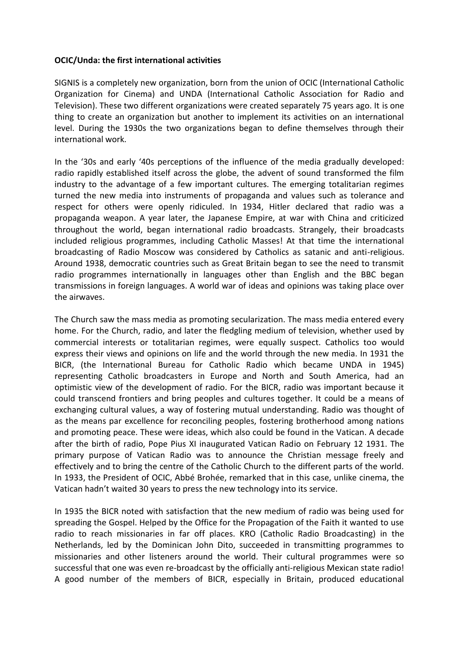## **OCIC/Unda: the first international activities**

SIGNIS is a completely new organization, born from the union of OCIC (International Catholic Organization for Cinema) and UNDA (International Catholic Association for Radio and Television). These two different organizations were created separately 75 years ago. It is one thing to create an organization but another to implement its activities on an international level. During the 1930s the two organizations began to define themselves through their international work.

In the '30s and early '40s perceptions of the influence of the media gradually developed: radio rapidly established itself across the globe, the advent of sound transformed the film industry to the advantage of a few important cultures. The emerging totalitarian regimes turned the new media into instruments of propaganda and values such as tolerance and respect for others were openly ridiculed. In 1934, Hitler declared that radio was a propaganda weapon. A year later, the Japanese Empire, at war with China and criticized throughout the world, began international radio broadcasts. Strangely, their broadcasts included religious programmes, including Catholic Masses! At that time the international broadcasting of Radio Moscow was considered by Catholics as satanic and anti-religious. Around 1938, democratic countries such as Great Britain began to see the need to transmit radio programmes internationally in languages other than English and the BBC began transmissions in foreign languages. A world war of ideas and opinions was taking place over the airwaves.

The Church saw the mass media as promoting secularization. The mass media entered every home. For the Church, radio, and later the fledgling medium of television, whether used by commercial interests or totalitarian regimes, were equally suspect. Catholics too would express their views and opinions on life and the world through the new media. In 1931 the BICR, (the International Bureau for Catholic Radio which became UNDA in 1945) representing Catholic broadcasters in Europe and North and South America, had an optimistic view of the development of radio. For the BICR, radio was important because it could transcend frontiers and bring peoples and cultures together. It could be a means of exchanging cultural values, a way of fostering mutual understanding. Radio was thought of as the means par excellence for reconciling peoples, fostering brotherhood among nations and promoting peace. These were ideas, which also could be found in the Vatican. A decade after the birth of radio, Pope Pius XI inaugurated Vatican Radio on February 12 1931. The primary purpose of Vatican Radio was to announce the Christian message freely and effectively and to bring the centre of the Catholic Church to the different parts of the world. In 1933, the President of OCIC, Abbé Brohée, remarked that in this case, unlike cinema, the Vatican hadn't waited 30 years to press the new technology into its service.

In 1935 the BICR noted with satisfaction that the new medium of radio was being used for spreading the Gospel. Helped by the Office for the Propagation of the Faith it wanted to use radio to reach missionaries in far off places. KRO (Catholic Radio Broadcasting) in the Netherlands, led by the Dominican John Dito, succeeded in transmitting programmes to missionaries and other listeners around the world. Their cultural programmes were so successful that one was even re-broadcast by the officially anti-religious Mexican state radio! A good number of the members of BICR, especially in Britain, produced educational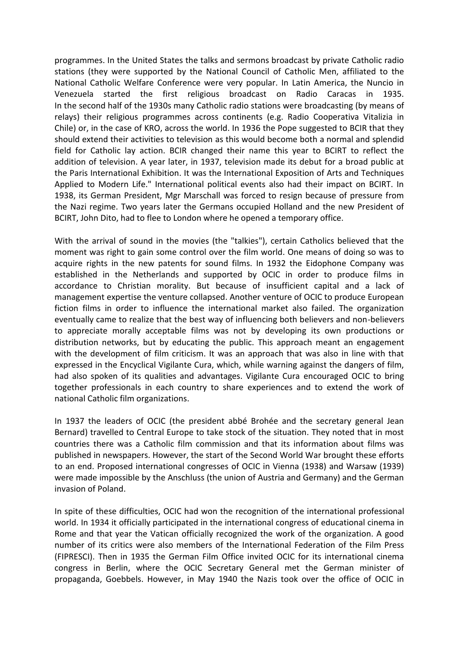programmes. In the United States the talks and sermons broadcast by private Catholic radio stations (they were supported by the National Council of Catholic Men, affiliated to the National Catholic Welfare Conference were very popular. In Latin America, the Nuncio in Venezuela started the first religious broadcast on Radio Caracas in 1935. In the second half of the 1930s many Catholic radio stations were broadcasting (by means of relays) their religious programmes across continents (e.g. Radio Cooperativa Vitalizia in Chile) or, in the case of KRO, across the world. In 1936 the Pope suggested to BCIR that they should extend their activities to television as this would become both a normal and splendid field for Catholic lay action. BCIR changed their name this year to BCIRT to reflect the addition of television. A year later, in 1937, television made its debut for a broad public at the Paris International Exhibition. It was the International Exposition of Arts and Techniques Applied to Modern Life." International political events also had their impact on BCIRT. In 1938, its German President, Mgr Marschall was forced to resign because of pressure from the Nazi regime. Two years later the Germans occupied Holland and the new President of BCIRT, John Dito, had to flee to London where he opened a temporary office.

With the arrival of sound in the movies (the "talkies"), certain Catholics believed that the moment was right to gain some control over the film world. One means of doing so was to acquire rights in the new patents for sound films. In 1932 the Eidophone Company was established in the Netherlands and supported by OCIC in order to produce films in accordance to Christian morality. But because of insufficient capital and a lack of management expertise the venture collapsed. Another venture of OCIC to produce European fiction films in order to influence the international market also failed. The organization eventually came to realize that the best way of influencing both believers and non-believers to appreciate morally acceptable films was not by developing its own productions or distribution networks, but by educating the public. This approach meant an engagement with the development of film criticism. It was an approach that was also in line with that expressed in the Encyclical Vigilante Cura, which, while warning against the dangers of film, had also spoken of its qualities and advantages. Vigilante Cura encouraged OCIC to bring together professionals in each country to share experiences and to extend the work of national Catholic film organizations.

In 1937 the leaders of OCIC (the president abbé Brohée and the secretary general Jean Bernard) travelled to Central Europe to take stock of the situation. They noted that in most countries there was a Catholic film commission and that its information about films was published in newspapers. However, the start of the Second World War brought these efforts to an end. Proposed international congresses of OCIC in Vienna (1938) and Warsaw (1939) were made impossible by the Anschluss (the union of Austria and Germany) and the German invasion of Poland.

In spite of these difficulties, OCIC had won the recognition of the international professional world. In 1934 it officially participated in the international congress of educational cinema in Rome and that year the Vatican officially recognized the work of the organization. A good number of its critics were also members of the International Federation of the Film Press (FIPRESCI). Then in 1935 the German Film Office invited OCIC for its international cinema congress in Berlin, where the OCIC Secretary General met the German minister of propaganda, Goebbels. However, in May 1940 the Nazis took over the office of OCIC in